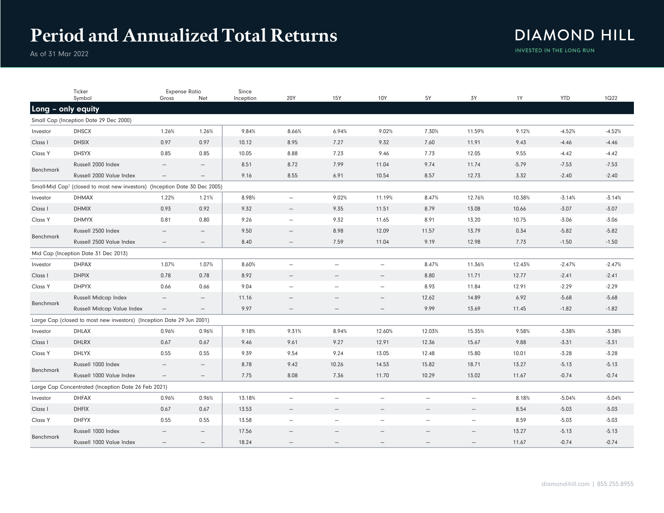## **Period and Annualized Total Returns**

## **DIAMOND HILL** INVESTED IN THE LONG RUN

As of 31 Mar 2022

|                                                                                           | Ticker                                                                | <b>Expense Ratio</b>            |                          | Since     |                          |                          |                          |                          |                          |         |            |             |
|-------------------------------------------------------------------------------------------|-----------------------------------------------------------------------|---------------------------------|--------------------------|-----------|--------------------------|--------------------------|--------------------------|--------------------------|--------------------------|---------|------------|-------------|
|                                                                                           | Symbol                                                                | Gross                           | Net                      | Inception | 20Y                      | <b>15Y</b>               | 10Y                      | 5Y                       | 3Y                       | 1Y      | <b>YTD</b> | <b>1Q22</b> |
| Long - only equity                                                                        |                                                                       |                                 |                          |           |                          |                          |                          |                          |                          |         |            |             |
|                                                                                           | Small Cap (Inception Date 29 Dec 2000)                                |                                 |                          |           |                          |                          |                          |                          |                          |         |            |             |
| Investor                                                                                  | <b>DHSCX</b>                                                          | 1.26%                           | 1.26%                    | 9.84%     | 8.66%                    | 6.94%                    | 9.02%                    | 7.30%                    | 11.59%                   | 9.12%   | $-4.52%$   | $-4.52%$    |
| Class I                                                                                   | <b>DHSIX</b>                                                          | 0.97                            | 0.97                     | 10.12     | 8.95                     | 7.27                     | 9.32                     | 7.60                     | 11.91                    | 9.43    | $-4.46$    | $-4.46$     |
| Class Y                                                                                   | <b>DHSYX</b>                                                          | 0.85                            | 0.85                     | 10.05     | 8.88                     | 7.23                     | 9.46                     | 7.73                     | 12.05                    | 9.55    | $-4.42$    | $-4.42$     |
| Benchmark                                                                                 | Russell 2000 Index                                                    |                                 | $\qquad \qquad -$        | 8.51      | 8.72                     | 7.99                     | 11.04                    | 9.74                     | 11.74                    | $-5.79$ | $-7.53$    | $-7.53$     |
|                                                                                           | Russell 2000 Value Index                                              |                                 |                          | 9.16      | 8.55                     | 6.91                     | 10.54                    | 8.57                     | 12.73                    | 3.32    | $-2.40$    | $-2.40$     |
| Small-Mid Cap <sup>1</sup><br>(closed to most new investors) (Inception Date 30 Dec 2005) |                                                                       |                                 |                          |           |                          |                          |                          |                          |                          |         |            |             |
| Investor                                                                                  | <b>DHMAX</b>                                                          | 1.22%                           | 1.21%                    | 8.98%     | $\overline{\phantom{0}}$ | 9.02%                    | 11.19%                   | 8.47%                    | 12.76%                   | 10.38%  | $-3.14%$   | $-3.14%$    |
| Class I                                                                                   | <b>DHMIX</b>                                                          | 0.93                            | 0.92                     | 9.32      |                          | 9.35                     | 11.51                    | 8.79                     | 13.08                    | 10.66   | $-3.07$    | $-3.07$     |
| Class Y                                                                                   | <b>DHMYX</b>                                                          | 0.81                            | 0.80                     | 9.26      | $\overline{\phantom{m}}$ | 9.32                     | 11.65                    | 8.91                     | 13.20                    | 10.75   | $-3.06$    | $-3.06$     |
|                                                                                           | Russell 2500 Index                                                    | $\overline{\phantom{0}}$        | $\overline{\phantom{0}}$ | 9.50      | $\equiv$                 | 8.98                     | 12.09                    | 11.57                    | 13.79                    | 0.34    | $-5.82$    | $-5.82$     |
| Benchmark                                                                                 | Russell 2500 Value Index                                              | $\overline{\phantom{m}}$        |                          | 8.40      | $\equiv$                 | 7.59                     | 11.04                    | 9.19                     | 12.98                    | 7.73    | $-1.50$    | $-1.50$     |
| Mid Cap (Inception Date 31 Dec 2013)                                                      |                                                                       |                                 |                          |           |                          |                          |                          |                          |                          |         |            |             |
| Investor                                                                                  | <b>DHPAX</b>                                                          | 1.07%                           | 1.07%                    | 8.60%     | $\equiv$                 | $\overline{\phantom{0}}$ | $\overline{\phantom{0}}$ | 8.47%                    | 11.36%                   | 12.43%  | $-2.47%$   | $-2.47%$    |
| Class I                                                                                   | <b>DHPIX</b>                                                          | 0.78                            | 0.78                     | 8.92      |                          |                          |                          | 8.80                     | 11.71                    | 12.77   | $-2.41$    | $-2.41$     |
| Class Y                                                                                   | <b>DHPYX</b>                                                          | 0.66                            | 0.66                     | 9.04      | $\overline{\phantom{m}}$ | $\overline{\phantom{0}}$ | $\overline{\phantom{0}}$ | 8.93                     | 11.84                    | 12.91   | $-2.29$    | $-2.29$     |
|                                                                                           | <b>Russell Midcap Index</b>                                           | $\overline{\phantom{0}}$        | $\qquad \qquad -$        | 11.16     |                          |                          |                          | 12.62                    | 14.89                    | 6.92    | $-5.68$    | $-5.68$     |
| Benchmark                                                                                 | <b>Russell Midcap Value Index</b>                                     | $\overline{\phantom{m}}$        | $\qquad \qquad -$        | 9.97      | $\qquad \qquad -$        | $\overline{\phantom{0}}$ |                          | 9.99                     | 13.69                    | 11.45   | $-1.82$    | $-1.82$     |
|                                                                                           | Large Cap (closed to most new investors) (Inception Date 29 Jun 2001) |                                 |                          |           |                          |                          |                          |                          |                          |         |            |             |
| Investor                                                                                  | <b>DHLAX</b>                                                          | 0.96%                           | 0.96%                    | 9.18%     | 9.31%                    | 8.94%                    | 12.60%                   | 12.03%                   | 15.35%                   | 9.58%   | $-3.38%$   | $-3.38%$    |
| Class I                                                                                   | <b>DHLRX</b>                                                          | 0.67                            | 0.67                     | 9.46      | 9.61                     | 9.27                     | 12.91                    | 12.36                    | 15.67                    | 9.88    | $-3.31$    | $-3.31$     |
| Class Y                                                                                   | <b>DHLYX</b>                                                          | 0.55                            | 0.55                     | 9.39      | 9.54                     | 9.24                     | 13.05                    | 12.48                    | 15.80                    | 10.01   | $-3.28$    | $-3.28$     |
| Benchmark                                                                                 | Russell 1000 Index                                                    | $\overline{\phantom{m}}$        | $\qquad \qquad -$        | 8.78      | 9.42                     | 10.26                    | 14.53                    | 15.82                    | 18.71                    | 13.27   | $-5.13$    | $-5.13$     |
|                                                                                           | Russell 1000 Value Index                                              | $\hspace{0.1mm}-\hspace{0.1mm}$ | $\qquad \qquad -$        | 7.75      | 8.08                     | 7.36                     | 11.70                    | 10.29                    | 13.02                    | 11.67   | $-0.74$    | $-0.74$     |
|                                                                                           | Large Cap Concentrated (Inception Date 26 Feb 2021)                   |                                 |                          |           |                          |                          |                          |                          |                          |         |            |             |
| Investor                                                                                  | <b>DHFAX</b>                                                          | 0.96%                           | 0.96%                    | 13.18%    | $\equiv$                 | $\overline{\phantom{m}}$ | $\equiv$                 | $\equiv$                 | $\overline{\phantom{m}}$ | 8.18%   | $-5.04%$   | $-5.04%$    |
| Class I                                                                                   | <b>DHFIX</b>                                                          | 0.67                            | 0.67                     | 13.53     |                          | $\overline{\phantom{0}}$ |                          |                          | $\overline{\phantom{m}}$ | 8.54    | $-5.03$    | $-5.03$     |
| Class Y                                                                                   | <b>DHFYX</b>                                                          | 0.55                            | 0.55                     | 13.58     |                          | $\overline{\phantom{0}}$ |                          | $\overline{\phantom{0}}$ | $\overline{\phantom{m}}$ | 8.59    | $-5.03$    | $-5.03$     |
| Benchmark                                                                                 | Russell 1000 Index                                                    |                                 | $\qquad \qquad -$        | 17.56     |                          |                          |                          |                          | $\qquad \qquad -$        | 13.27   | $-5.13$    | $-5.13$     |
|                                                                                           | Russell 1000 Value Index                                              | $\overline{\phantom{m}}$        | $\qquad \qquad -$        | 18.24     | $\overline{\phantom{0}}$ |                          |                          |                          | $\overline{\phantom{0}}$ | 11.67   | $-0.74$    | $-0.74$     |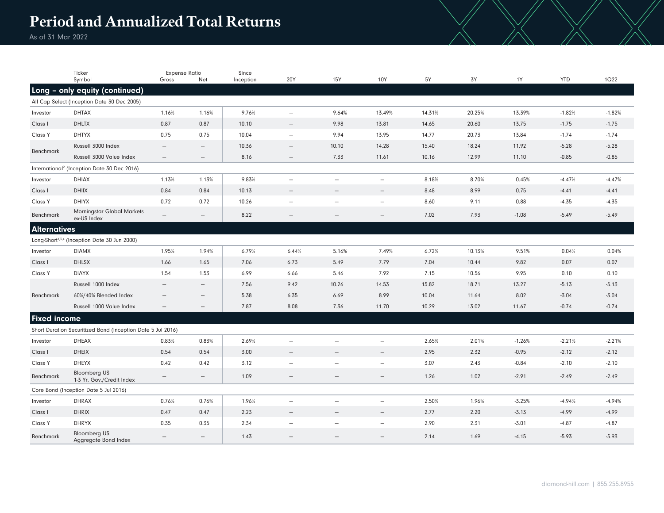## **Period and Annualized Total Returns**

As of 31 Mar 2022

|                                                                                                                                                                                                                                                       | Ticker                                                                        | <b>Expense Ratio</b>     |                          | Since     |                          |                          |                          |        |        |          | <b>YTD</b> |          |
|-------------------------------------------------------------------------------------------------------------------------------------------------------------------------------------------------------------------------------------------------------|-------------------------------------------------------------------------------|--------------------------|--------------------------|-----------|--------------------------|--------------------------|--------------------------|--------|--------|----------|------------|----------|
|                                                                                                                                                                                                                                                       | Symbol                                                                        | Gross                    | Net                      | Inception | 20Y                      | 15Y                      | 10Y                      | 5Y     | 3Y     | 1Y       |            | 1Q22     |
|                                                                                                                                                                                                                                                       | Long - only equity (continued)<br>All Cap Select (Inception Date 30 Dec 2005) |                          |                          |           |                          |                          |                          |        |        |          |            |          |
| Investor                                                                                                                                                                                                                                              | <b>DHTAX</b>                                                                  | 1.16%                    | 1.16%                    | 9.76%     | $\overline{\phantom{m}}$ | 9.64%                    | 13.49%                   | 14.31% | 20.25% | 13.39%   | $-1.82%$   | $-1.82%$ |
| Class I                                                                                                                                                                                                                                               | <b>DHLTX</b>                                                                  | 0.87                     | 0.87                     | 10.10     | $\overline{\phantom{m}}$ | 9.98                     | 13.81                    | 14.65  | 20.60  | 13.75    | $-1.75$    | $-1.75$  |
| Class Y                                                                                                                                                                                                                                               | <b>DHTYX</b>                                                                  | 0.75                     | 0.75                     | 10.04     | $\overline{\phantom{m}}$ | 9.94                     | 13.95                    | 14.77  | 20.73  | 13.84    | $-1.74$    | $-1.74$  |
| Benchmark                                                                                                                                                                                                                                             | Russell 3000 Index                                                            | $\overline{\phantom{0}}$ |                          | 10.36     | $\equiv$                 | 10.10                    | 14.28                    | 15.40  | 18.24  | 11.92    | $-5.28$    | $-5.28$  |
|                                                                                                                                                                                                                                                       | Russell 3000 Value Index                                                      |                          | $\overline{\phantom{0}}$ | 8.16      |                          | 7.33                     | 11.61                    | 10.16  | 12.99  | 11.10    | $-0.85$    | $-0.85$  |
|                                                                                                                                                                                                                                                       |                                                                               |                          |                          |           |                          |                          |                          |        |        |          |            |          |
| International <sup>2</sup> (Inception Date 30 Dec 2016)<br><b>DHIAX</b><br>1.13%<br>1.13%<br>9.83%<br>8.18%<br>8.70%<br>0.45%<br>$-4.47%$<br>$-4.47%$<br>Investor<br>$\overline{\phantom{m}}$<br>$\overline{\phantom{0}}$<br>$\overline{\phantom{a}}$ |                                                                               |                          |                          |           |                          |                          |                          |        |        |          |            |          |
| Class I                                                                                                                                                                                                                                               | <b>DHIIX</b>                                                                  | 0.84                     | 0.84                     | 10.13     | $\equiv$                 | $\equiv$                 | $\overline{\phantom{0}}$ | 8.48   | 8.99   | 0.75     | $-4.41$    | $-4.41$  |
| Class Y                                                                                                                                                                                                                                               | <b>DHIYX</b>                                                                  | 0.72                     | 0.72                     | 10.26     | $\overline{\phantom{m}}$ | $\qquad \qquad$          | $\overline{\phantom{m}}$ | 8.60   | 9.11   | 0.88     | $-4.35$    | $-4.35$  |
|                                                                                                                                                                                                                                                       | <b>Morningstar Global Markets</b>                                             |                          |                          |           |                          |                          |                          |        |        |          |            |          |
| Benchmark                                                                                                                                                                                                                                             | ex-US Index                                                                   | $\overline{\phantom{0}}$ | $\overline{\phantom{0}}$ | 8.22      | $\overline{\phantom{0}}$ |                          |                          | 7.02   | 7.93   | $-1.08$  | $-5.49$    | $-5.49$  |
| <b>Alternatives</b>                                                                                                                                                                                                                                   |                                                                               |                          |                          |           |                          |                          |                          |        |        |          |            |          |
| Long-Short <sup>1,3,4</sup> (Inception Date 30 Jun 2000)                                                                                                                                                                                              |                                                                               |                          |                          |           |                          |                          |                          |        |        |          |            |          |
| Investor                                                                                                                                                                                                                                              | <b>DIAMX</b>                                                                  | 1.95%                    | 1.94%                    | 6.79%     | 6.44%                    | 5.16%                    | 7.49%                    | 6.72%  | 10.13% | 9.51%    | 0.04%      | 0.04%    |
| Class I                                                                                                                                                                                                                                               | <b>DHLSX</b>                                                                  | 1.66                     | 1.65                     | 7.06      | 6.73                     | 5.49                     | 7.79                     | 7.04   | 10.44  | 9.82     | 0.07       | 0.07     |
| Class Y                                                                                                                                                                                                                                               | <b>DIAYX</b>                                                                  | 1.54                     | 1.53                     | 6.99      | 6.66                     | 5.46                     | 7.92                     | 7.15   | 10.56  | 9.95     | 0.10       | 0.10     |
|                                                                                                                                                                                                                                                       | Russell 1000 Index                                                            |                          |                          | 7.56      | 9.42                     | 10.26                    | 14.53                    | 15.82  | 18.71  | 13.27    | $-5.13$    | $-5.13$  |
| Benchmark                                                                                                                                                                                                                                             | 60%/40% Blended Index                                                         |                          |                          | 5.38      | 6.35                     | 6.69                     | 8.99                     | 10.04  | 11.64  | 8.02     | $-3.04$    | $-3.04$  |
|                                                                                                                                                                                                                                                       | Russell 1000 Value Index                                                      | $\overline{\phantom{m}}$ | $\qquad \qquad -$        | 7.87      | 8.08                     | 7.36                     | 11.70                    | 10.29  | 13.02  | 11.67    | $-0.74$    | $-0.74$  |
| <b>Fixed income</b>                                                                                                                                                                                                                                   |                                                                               |                          |                          |           |                          |                          |                          |        |        |          |            |          |
|                                                                                                                                                                                                                                                       | Short Duration Securitized Bond (Inception Date 5 Jul 2016)                   |                          |                          |           |                          |                          |                          |        |        |          |            |          |
| Investor                                                                                                                                                                                                                                              | <b>DHEAX</b>                                                                  | 0.83%                    | 0.83%                    | 2.69%     | $\overline{\phantom{0}}$ |                          |                          | 2.65%  | 2.01%  | $-1.26%$ | $-2.21%$   | $-2.21%$ |
| Class I                                                                                                                                                                                                                                               | <b>DHEIX</b>                                                                  | 0.54                     | 0.54                     | 3.00      | $\overline{\phantom{m}}$ | $\qquad \qquad -$        | $\overline{\phantom{m}}$ | 2.95   | 2.32   | $-0.95$  | $-2.12$    | $-2.12$  |
| Class Y                                                                                                                                                                                                                                               | <b>DHEYX</b>                                                                  | 0.42                     | 0.42                     | 3.12      | $\overline{\phantom{m}}$ | $\overline{\phantom{0}}$ | $\overline{\phantom{m}}$ | 3.07   | 2.43   | $-0.84$  | $-2.10$    | $-2.10$  |
| Benchmark                                                                                                                                                                                                                                             | <b>Bloomberg US</b><br>1-3 Yr. Gov./Credit Index                              |                          | $\qquad \qquad -$        | 1.09      | $\overline{\phantom{m}}$ | $\qquad \qquad -$        |                          | 1.26   | 1.02   | $-2.91$  | $-2.49$    | $-2.49$  |
|                                                                                                                                                                                                                                                       | Core Bond (Inception Date 5 Jul 2016)                                         |                          |                          |           |                          |                          |                          |        |        |          |            |          |
| Investor                                                                                                                                                                                                                                              | <b>DHRAX</b>                                                                  | 0.76%                    | 0.76%                    | 1.96%     | $\overline{\phantom{m}}$ |                          | $\overline{\phantom{m}}$ | 2.50%  | 1.96%  | $-3.25%$ | $-4.94%$   | $-4.94%$ |
| Class I                                                                                                                                                                                                                                               | <b>DHRIX</b>                                                                  | 0.47                     | 0.47                     | 2.23      | $\overline{\phantom{0}}$ | $\equiv$                 | $\equiv$                 | 2.77   | 2.20   | $-3.13$  | $-4.99$    | $-4.99$  |
| Class Y                                                                                                                                                                                                                                               | <b>DHRYX</b>                                                                  | 0.35                     | 0.35                     | 2.34      | $\overline{\phantom{0}}$ | $\overline{\phantom{0}}$ | $\overline{\phantom{a}}$ | 2.90   | 2.31   | $-3.01$  | $-4.87$    | $-4.87$  |
| Benchmark                                                                                                                                                                                                                                             | <b>Bloomberg US</b><br>Aggregate Bond Index                                   | $\qquad \qquad -$        | $\qquad \qquad -$        | 1.43      |                          |                          |                          | 2.14   | 1.69   | $-4.15$  | $-5.93$    | $-5.93$  |